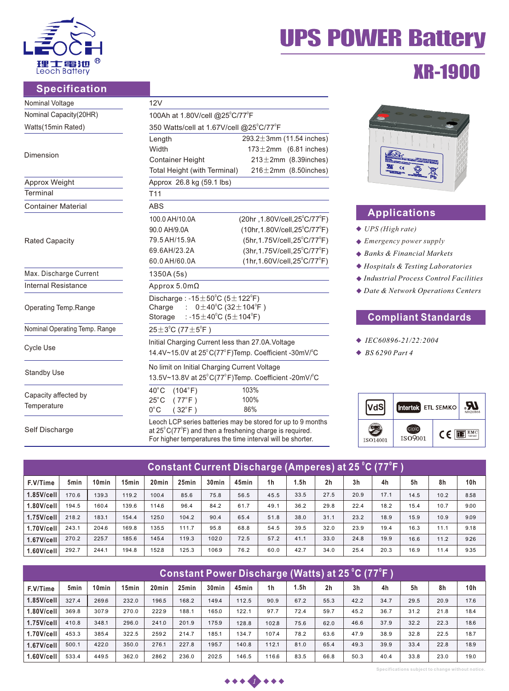

Self

## **Specification**

| Nominal Voltage               | 12V                                                                                                                                                                       |                                               |  |  |  |  |  |  |  |
|-------------------------------|---------------------------------------------------------------------------------------------------------------------------------------------------------------------------|-----------------------------------------------|--|--|--|--|--|--|--|
| Nominal Capacity(20HR)        | 100Ah at 1.80V/cell @25°C/77°F                                                                                                                                            |                                               |  |  |  |  |  |  |  |
| Watts(15min Rated)            | 350 Watts/cell at 1.67V/cell @25°C/77°F                                                                                                                                   |                                               |  |  |  |  |  |  |  |
|                               | 293.2 $\pm$ 3mm (11.54 inches)<br>Length                                                                                                                                  |                                               |  |  |  |  |  |  |  |
|                               | Width                                                                                                                                                                     | $173 \pm 2$ mm (6.81 inches)                  |  |  |  |  |  |  |  |
| Dimension                     | <b>Container Height</b>                                                                                                                                                   | $213 \pm 2$ mm (8.39 inches)                  |  |  |  |  |  |  |  |
|                               | $216 \pm 2$ mm (8.50inches)<br>Total Height (with Terminal)                                                                                                               |                                               |  |  |  |  |  |  |  |
| Approx Weight                 | Approx 26.8 kg (59.1 lbs)                                                                                                                                                 |                                               |  |  |  |  |  |  |  |
| Terminal                      | T <sub>11</sub>                                                                                                                                                           |                                               |  |  |  |  |  |  |  |
| <b>Container Material</b>     | <b>ABS</b>                                                                                                                                                                |                                               |  |  |  |  |  |  |  |
|                               | 100.0 AH/10.0A                                                                                                                                                            | (20hr, 1.80V/cell, 25°C/77°F)                 |  |  |  |  |  |  |  |
|                               | 90.0 AH/9.0A                                                                                                                                                              | $(10hr, 1.80V/cell, 25^{\circ}C/77^{\circ}F)$ |  |  |  |  |  |  |  |
| <b>Rated Capacity</b>         | 79.5 AH/15.9A                                                                                                                                                             | $(5hr, 1.75V/cell, 25^{\circ}C/77^{\circ}F)$  |  |  |  |  |  |  |  |
|                               | 69.6AH/23.2A                                                                                                                                                              | $(3hr, 1.75V/cell, 25^{\circ}C/77^{\circ}F)$  |  |  |  |  |  |  |  |
|                               | 60.0 AH/60.0A                                                                                                                                                             | $(1hr, 1.60V/cell, 25^{\circ}C/77^{\circ}F)$  |  |  |  |  |  |  |  |
| Max. Discharge Current        | 1350A (5s)                                                                                                                                                                |                                               |  |  |  |  |  |  |  |
| Internal Resistance           | Approx $5.0 \text{m}\Omega$                                                                                                                                               |                                               |  |  |  |  |  |  |  |
| Operating Temp.Range          | Discharge: $-15 \pm 50^{\circ}$ C (5 $\pm$ 122 $^{\circ}$ F)<br>$0 \pm 40^{\circ}$ C (32 $\pm$ 104 $^{\circ}$ F)<br>Charge<br>: -15 $\pm$ 40°C (5 $\pm$ 104°F)<br>Storage |                                               |  |  |  |  |  |  |  |
| Nominal Operating Temp. Range | $25 \pm 3^{\circ}$ C (77 $\pm 5^{\circ}$ F)                                                                                                                               |                                               |  |  |  |  |  |  |  |
|                               | Initial Charging Current less than 27.0A. Voltage                                                                                                                         |                                               |  |  |  |  |  |  |  |
| Cycle Use                     | 14.4V~15.0V at 25°C(77°F)Temp. Coefficient -30mV/°C                                                                                                                       |                                               |  |  |  |  |  |  |  |
|                               | No limit on Initial Charging Current Voltage                                                                                                                              |                                               |  |  |  |  |  |  |  |
| <b>Standby Use</b>            | 13.5V~13.8V at 25°C(77°F)Temp. Coefficient -20mV/°C                                                                                                                       |                                               |  |  |  |  |  |  |  |
| Capacity affected by          | $40^{\circ}$ C<br>(104°F)                                                                                                                                                 | 103%                                          |  |  |  |  |  |  |  |
|                               | $25^{\circ}$ C<br>$(77^{\circ}F)$                                                                                                                                         | 100%                                          |  |  |  |  |  |  |  |
| Temperature                   | $0^{\circ}$ C<br>$(32^{\circ}F)$                                                                                                                                          | 86%                                           |  |  |  |  |  |  |  |
|                               | Leoch LCP series batteries may be stored for up to 9 months                                                                                                               |                                               |  |  |  |  |  |  |  |
| Self Discharge                | at $25^{\circ}$ C(77 $^{\circ}$ F) and then a freshening charge is required.                                                                                              |                                               |  |  |  |  |  |  |  |

at 25 $\mathrm{^{\circ}C}$ (77 $\mathrm{^{\circ}F}$ ) and then a freshening charge is required. For higher temperatures the time interval will be shorter.

# UPS POWER Battery

## XR-1900



## **Applications**

- *UPS (High rate)*
- *Emergency power supply*
- *Banks & Financial Markets*
- *Hospitals & Testing Laboratories*
- *Industrial Process Control Facilities*
- *Date & Network Operations Centers*

## **Compliant Standards**

- *IEC60896-21/22:2004*
- *BS 6290 Part 4*



| Constant Current Discharge (Amperes) at 25 °C (77°F ) |                  |                   |                   |                   |       |                   |       |                |      |                |                |      |      |      |                 |
|-------------------------------------------------------|------------------|-------------------|-------------------|-------------------|-------|-------------------|-------|----------------|------|----------------|----------------|------|------|------|-----------------|
| F.V/Time                                              | 5 <sub>min</sub> | 10 <sub>min</sub> | 15 <sub>min</sub> | 20 <sub>min</sub> | 25min | 30 <sub>min</sub> | 45min | 1 <sub>h</sub> | 1.5h | 2 <sub>h</sub> | 3 <sub>h</sub> | 4h   | 5h   | 8h   | 10 <sub>h</sub> |
| $1.85$ V/cell                                         | 170.6            | 139.3             | 119.2             | 100.4             | 85.6  | 75.8              | 56.5  | 45.5           | 33.5 | 27.5           | 20.9           | 17.1 | 14.5 | 10.2 | 8.58            |
| 1.80V/cell                                            | 194.5            | 160.4             | 139.6             | 114.6             | 96.4  | 84.2              | 61.7  | 49.1           | 36.2 | 29.8           | 22.4           | 18.2 | 15.4 | 10.7 | 9.00            |
| $1.75$ V/cell                                         | 218.2            | 183.1             | 154.4             | 125.0             | 104.2 | 90.4              | 65.4  | 51.8           | 38.0 | 31.1           | 23.2           | 18.9 | 15.9 | 10.9 | 9.09            |
| 1.70V/cell                                            | 243.1            | 204.6             | 169.8             | 135.5             | 111.7 | 95.8              | 68.8  | 54.5           | 39.5 | 32.0           | 23.9           | 19.4 | 16.3 | 11.1 | 9.18            |
| $1.67$ V/cell                                         | 270.2            | 225.7             | 185.6             | 145.4             | 119.3 | 102.0             | 72.5  | 57.2           | 41.1 | 33.0           | 24.8           | 19.9 | 16.6 | 11.2 | 9.26            |
|                                                       | 292.7            | 244.1             | 194.8             | 152.8             | 125.3 | 106.9             | 76.2  | 60.0           | 42.7 | 34.0           | 25.4           | 20.3 | 16.9 | 11.4 | 9.35            |

| Constant Power Discharge (Watts) at 25 °C (77°F ) |       |                   |       |                   |       |                   |       |                |      |                |      |      |      |      |      |
|---------------------------------------------------|-------|-------------------|-------|-------------------|-------|-------------------|-------|----------------|------|----------------|------|------|------|------|------|
| F.V/Time                                          | 5min  | 10 <sub>min</sub> | 15min | 20 <sub>min</sub> | 25min | 30 <sub>min</sub> | 45min | 1 <sub>h</sub> | 1.5h | 2 <sub>h</sub> | 3h   | 4h   | 5h   | 8h   | 10h  |
| 1.85V/cell                                        | 327.4 | 269.6             | 232.0 | 196.5             | 168.2 | 149.4             | 112.5 | 90.9           | 67.2 | 55.3           | 42.2 | 34.7 | 29.5 | 20.9 | 17.6 |
| 1.80V/cell                                        | 369.8 | 307.9             | 270.0 | 222.9             | 188.1 | 165.0             | 122.1 | 97.7           | 72.4 | 59.7           | 45.2 | 36.7 | 31.2 | 21.8 | 18.4 |
| $1.75$ V/cell                                     | 410.8 | 348.1             | 296.0 | 241.0             | 201.9 | 175.9             | 128.8 | 102.8          | 75.6 | 62.0           | 46.6 | 37.9 | 32.2 | 22.3 | 18.6 |
| 1.70V/cell                                        | 453.3 | 385.4             | 322.5 | 2592              | 214.7 | 185.1             | 134.7 | 107.4          | 78.2 | 63.6           | 47.9 | 38.9 | 32.8 | 22.5 | 18.7 |
| $1.67$ V/cell                                     | 500.1 | 422.0             | 350.0 | 276.1             | 227.8 | 195.7             | 140.8 | 112.1          | 81.0 | 65.4           | 49.3 | 39.9 | 33.4 | 22.8 | 18.9 |
| .60V/cell                                         | 533.4 | 449.5             | 362.0 | 2862              | 236.0 | 202.5             | 146.5 | 116.6          | 83.5 | 66.8           | 50.3 | 40.4 | 33.8 | 23.0 | 19.0 |



**Specifications subject to change without notice.**